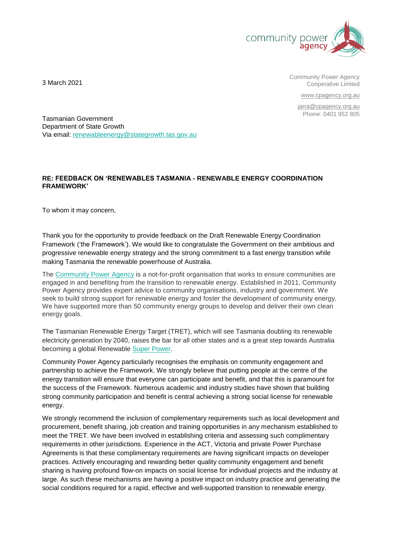

Community Power Agency Cooperative Limited

[www.cpagency.org.au](http://www.cpagency.org.au/)

[jarra@cpagency.org.au](mailto:jarra@cpagency.org.au) Phone: 0401 952 805

3 March 2021

Tasmanian Government Department of State Growth Via email: [renewableenergy@stategrowth.tas.gov.au](mailto:renewableenergy@stategrowth.tas.gov.au)

# **RE: FEEDBACK ON 'RENEWABLES TASMANIA - RENEWABLE ENERGY COORDINATION FRAMEWORK'**

To whom it may concern,

Thank you for the opportunity to provide feedback on the Draft Renewable Energy Coordination Framework ('the Framework'). We would like to congratulate the Government on their ambitious and progressive renewable energy strategy and the strong commitment to a fast energy transition while making Tasmania the renewable powerhouse of Australia.

The [Community Power Agency](http://www.cpagency.org.au/) is a not-for-profit organisation that works to ensure communities are engaged in and benefiting from the transition to renewable energy. Established in 2011, Community Power Agency provides expert advice to community organisations, industry and government. We seek to build strong support for renewable energy and foster the development of community energy. We have supported more than 50 community energy groups to develop and deliver their own clean energy goals.

The Tasmanian Renewable Energy Target (TRET), which will see Tasmania doubling its renewable electricity generation by 2040, raises the bar for all other states and is a great step towards Australia becoming a global Renewable [Super Power.](mailto:https://www.wwf.org.au/what-we-do/climate/renewables%23gs.v0hz69)

Community Power Agency particularly recognises the emphasis on community engagement and partnership to achieve the Framework. We strongly believe that putting people at the centre of the energy transition will ensure that everyone can participate and benefit, and that this is paramount for the success of the Framework. Numerous academic and industry studies have shown that building strong community participation and benefit is central achieving a strong social license for renewable energy.

We strongly recommend the inclusion of complementary requirements such as local development and procurement, benefit sharing, job creation and training opportunities in any mechanism established to meet the TRET. We have been involved in establishing criteria and assessing such complimentary requirements in other jurisdictions. Experience in the ACT, Victoria and private Power Purchase Agreements is that these complimentary requirements are having significant impacts on developer practices. Actively encouraging and rewarding better quality community engagement and benefit sharing is having profound flow-on impacts on social license for individual projects and the industry at large. As such these mechanisms are having a positive impact on industry practice and generating the social conditions required for a rapid, effective and well-supported transition to renewable energy.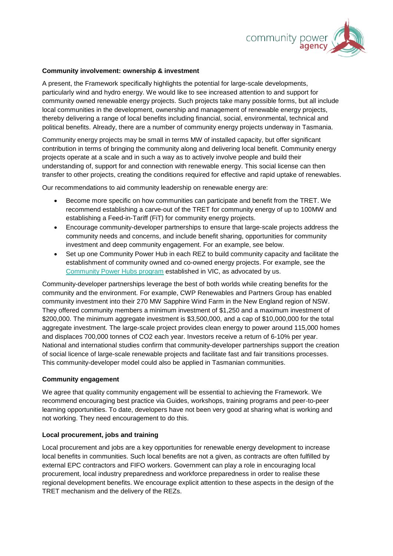

### **Community involvement: ownership & investment**

A present, the Framework specifically highlights the potential for large-scale developments, particularly wind and hydro energy. We would like to see increased attention to and support for community owned renewable energy projects. Such projects take many possible forms, but all include local communities in the development, ownership and management of renewable energy projects, thereby delivering a range of local benefits including financial, social, environmental, technical and political benefits. Already, there are a number of community energy projects underway in Tasmania.

Community energy projects may be small in terms MW of installed capacity, but offer significant contribution in terms of bringing the community along and delivering local benefit. Community energy projects operate at a scale and in such a way as to actively involve people and build their understanding of, support for and connection with renewable energy. This social license can then transfer to other projects, creating the conditions required for effective and rapid uptake of renewables.

Our recommendations to aid community leadership on renewable energy are:

- Become more specific on how communities can participate and benefit from the TRET. We recommend establishing a carve-out of the TRET for community energy of up to 100MW and establishing a Feed-in-Tariff (FiT) for community energy projects.
- Encourage community-developer partnerships to ensure that large-scale projects address the community needs and concerns, and include benefit sharing, opportunities for community investment and deep community engagement. For an example, see below.
- Set up one Community Power Hub in each REZ to build community capacity and facilitate the establishment of community owned and co-owned energy projects. For example, see the [Community Power Hubs program](https://www.energy.vic.gov.au/__data/assets/pdf_file/0028/464914/CPH-Evaluation-Summary-Report.pdf) established in VIC, as advocated by us.

Community-developer partnerships leverage the best of both worlds while creating benefits for the community and the environment. For example, CWP Renewables and Partners Group has enabled community investment into their 270 MW Sapphire Wind Farm in the New England region of NSW. They offered community members a minimum investment of \$1,250 and a maximum investment of \$200,000. The minimum aggregate investment is \$3,500,000, and a cap of \$10,000,000 for the total aggregate investment. The large-scale project provides clean energy to power around 115,000 homes and displaces 700,000 tonnes of CO2 each year. Investors receive a return of 6-10% per year. National and international studies confirm that community-developer partnerships support the creation of social licence of large-scale renewable projects and facilitate fast and fair transitions processes. This community-developer model could also be applied in Tasmanian communities.

#### **Community engagement**

We agree that quality community engagement will be essential to achieving the Framework. We recommend encouraging best practice via Guides, workshops, training programs and peer-to-peer learning opportunities. To date, developers have not been very good at sharing what is working and not working. They need encouragement to do this.

# **Local procurement, jobs and training**

Local procurement and jobs are a key opportunities for renewable energy development to increase local benefits in communities. Such local benefits are not a given, as contracts are often fulfilled by external EPC contractors and FIFO workers. Government can play a role in encouraging local procurement, local industry preparedness and workforce preparedness in order to realise these regional development benefits. We encourage explicit attention to these aspects in the design of the TRET mechanism and the delivery of the REZs.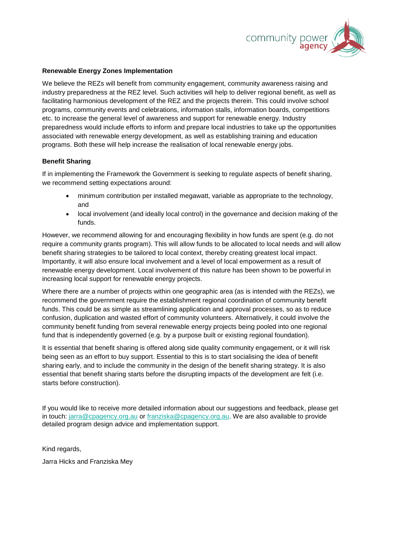

# **Renewable Energy Zones Implementation**

We believe the REZs will benefit from community engagement, community awareness raising and industry preparedness at the REZ level. Such activities will help to deliver regional benefit, as well as facilitating harmonious development of the REZ and the projects therein. This could involve school programs, community events and celebrations, information stalls, information boards, competitions etc. to increase the general level of awareness and support for renewable energy. Industry preparedness would include efforts to inform and prepare local industries to take up the opportunities associated with renewable energy development, as well as establishing training and education programs. Both these will help increase the realisation of local renewable energy jobs.

### **Benefit Sharing**

If in implementing the Framework the Government is seeking to regulate aspects of benefit sharing, we recommend setting expectations around:

- minimum contribution per installed megawatt, variable as appropriate to the technology, and
- local involvement (and ideally local control) in the governance and decision making of the funds.

However, we recommend allowing for and encouraging flexibility in how funds are spent (e.g. do not require a community grants program). This will allow funds to be allocated to local needs and will allow benefit sharing strategies to be tailored to local context, thereby creating greatest local impact. Importantly, it will also ensure local involvement and a level of local empowerment as a result of renewable energy development. Local involvement of this nature has been shown to be powerful in increasing local support for renewable energy projects.

Where there are a number of projects within one geographic area (as is intended with the REZs), we recommend the government require the establishment regional coordination of community benefit funds. This could be as simple as streamlining application and approval processes, so as to reduce confusion, duplication and wasted effort of community volunteers. Alternatively, it could involve the community benefit funding from several renewable energy projects being pooled into one regional fund that is independently governed (e.g. by a purpose built or existing regional foundation).

It is essential that benefit sharing is offered along side quality community engagement, or it will risk being seen as an effort to buy support. Essential to this is to start socialising the idea of benefit sharing early, and to include the community in the design of the benefit sharing strategy. It is also essential that benefit sharing starts before the disrupting impacts of the development are felt (i.e. starts before construction).

If you would like to receive more detailed information about our suggestions and feedback, please get in touch: [jarra@cpagency.org.au](mailto:jarra@cpagency.org.au) or [franziska@cpagency.org.au.](mailto:franziska@cpagency.org.au) We are also available to provide detailed program design advice and implementation support.

Kind regards,

Jarra Hicks and Franziska Mey